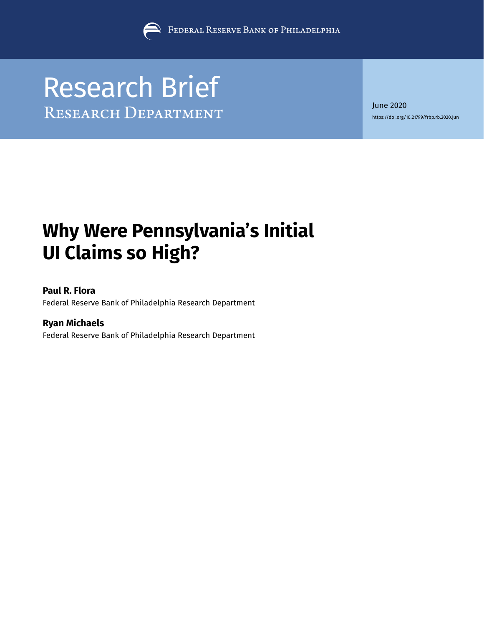

# Research Brief<br>RESEARCH DEPARTMENT

June 2020 [https://doi.org/10.21799/frbp.rb.2020.](https://doi.org/10.21799/frbp.rb.2020.jun)jun

# **Why Were Pennsylvania's Initial UI Claims so High?**

### **Paul R. Flora**

Federal Reserve Bank of Philadelphia Research Department

## **Ryan Michaels**

Federal Reserve Bank of Philadelphia Research Department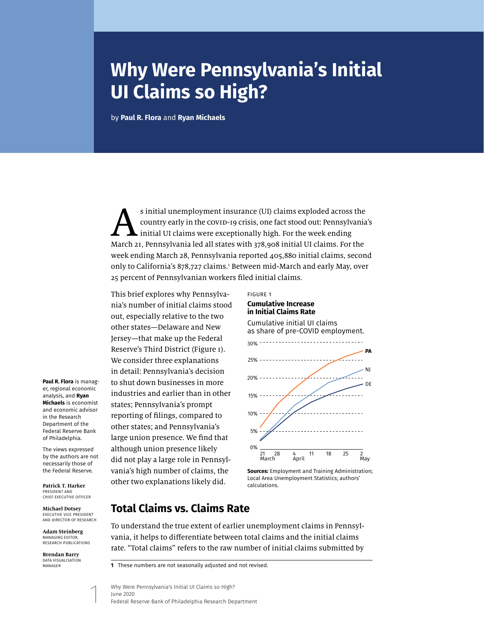# **Why Were Pennsylvania's Initial UI Claims so High?**

by **[Paul R. Flora](https://philadelphiafed.org/research-and-data/research-contacts/flora)** and **[Ryan Michaels](https://philadelphiafed.org/research-and-data/economists/michaels)**

s initial unemployment insurance (UI) claims exploded across the<br>country early in the covid-19 crisis, one fact stood out: Pennsylvania<br>initial UI claims were exceptionally high. For the week ending<br>March 21, Pennsylvania country early in the COVID-19 crisis, one fact stood out: Pennsylvania's initial UI claims were exceptionally high. For the week ending March 21, Pennsylvania led all states with 378,908 initial UI claims. For the week ending March 28, Pennsylvania reported 405,880 initial claims, second only to California's 878,727 claims.<sup>1</sup> Between mid-March and early May, over 25 percent of Pennsylvanian workers filed initial claims.

This brief explores why Pennsylvania's number of initial claims stood out, especially relative to the two other states—Delaware and New Jersey—that make up the Federal Reserve's Third District (Figure 1). We consider three explanations in detail: Pennsylvania's decision to shut down businesses in more industries and earlier than in other states; Pennsylvania's prompt reporting of filings, compared to other states; and Pennsylvania's large union presence. We find that although union presence likely did not play a large role in Pennsylvania's high number of claims, the other two explanations likely did.



**Sources:** Employment and Training Administration; Local Area Unemployment Statistics; authors' calculations.

# **Total Claims vs. Claims Rate**

To understand the true extent of earlier unemployment claims in Pennsylvania, it helps to differentiate between total claims and the initial claims rate. "Total claims" refers to the raw number of initial claims submitted by

Why Were Pennsylvania's Initial UI Claims so High? June 2020 Federal Reserve Bank of Philadelphia Research Department

**[Paul R. Flora](https://philadelphiafed.org/research-and-data/research-contacts/flora)** is manager, regional economic analysis, and **[Ryan](https://philadelphiafed.org/research-and-data/economists/michaels)  [Michaels](https://philadelphiafed.org/research-and-data/economists/michaels)** is economist and economic advisor in the Research Department of the Federal Reserve Bank of Philadelphia.

The views expressed by the authors are not necessarily those of the Federal Reserve.

**Patrick T. Harker** PRESIDENT AND CHIEF EXECUTIVE OFFICER

**Michael Dotsey** EXECUTIVE VICE PRESIDENT AND DIRECTOR OF RESEARCH

**Adam Steinberg** MANAGING EDITOR, RESEARCH PUBLICATIONS

**Brendan Barry** DATA VISUALISATION MANAGER

**<sup>1</sup>** These numbers are not seasonally adjusted and not revised.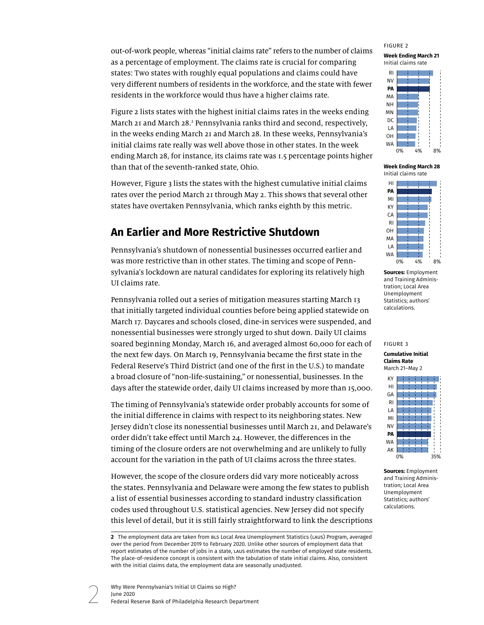out-of-work people, whereas "initial claims rate" refers to the number of claims as a percentage of employment. The claims rate is crucial for comparing states: Two states with roughly equal populations and claims could have very different numbers of residents in the workforce, and the state with fewer residents in the workforce would thus have a higher claims rate.

Figure 2 lists states with the highest initial claims rates in the weeks ending March 21 and March 28.<sup>2</sup> Pennsylvania ranks third and second, respectively, in the weeks ending March 21 and March 28. In these weeks, Pennsylvania's initial claims rate really was well above those in other states. In the week ending March 28, for instance, its claims rate was 1.5 percentage points higher than that of the seventh-ranked state, Ohio.

However, Figure 3 lists the states with the highest cumulative initial claims rates over the period March 21 through May 2. This shows that several other states have overtaken Pennsylvania, which ranks eighth by this metric.

# **An Earlier and More Restrictive Shutdown**

Pennsylvania's shutdown of nonessential businesses occurred earlier and was more restrictive than in other states. The timing and scope of Pennsylvania's lockdown are natural candidates for exploring its relatively high UI claims rate.

Pennsylvania rolled out a series of mitigation measures starting March 13 that initially targeted individual counties before being applied statewide on March 17. Daycares and schools closed, dine-in services were suspended, and nonessential businesses were strongly urged to shut down. Daily UI claims soared beginning Monday, March 16, and averaged almost 60,000 for each of the next few days. On March 19, Pennsylvania became the first state in the Federal Reserve's Third District (and one of the first in the U.S.) to mandate a broad closure of "non-life-sustaining," or nonessential, businesses. In the days after the statewide order, daily UI claims increased by more than 15,000.

The timing of Pennsylvania's statewide order probably accounts for some of the initial difference in claims with respect to its neighboring states. New Jersey didn't close its nonessential businesses until March 21, and Delaware's order didn't take effect until March 24. However, the differences in the timing of the closure orders are not overwhelming and are unlikely to fully account for the variation in the path of UI claims across the three states.

However, the scope of the closure orders did vary more noticeably across the states. Pennsylvania and Delaware were among the few states to publish a list of essential businesses according to standard industry classification codes used throughout U.S. statistical agencies. New Jersey did not specify this level of detail, but it is still fairly straightforward to link the descriptions



**Week Ending March 21** Initial claims rate



**Week Ending March 28** Initial claims rate



**Sources:** Employment and Training Administration; Local Area Unemployment Statistics; authors' calculations.

#### FIGURE 3

**Cumulative Initial Claims Rate** March 21–May 2



**Sources:** Employment and Training Administration; Local Area Unemployment Statistics; authors' calculations.

**<sup>2</sup>** The employment data are taken from BLS Local Area Unemployment Statistics (LAUS) Program, averaged over the period from December 2019 to February 2020. Unlike other sources of employment data that report estimates of the number of jobs in a state, LAUS estimates the number of employed state residents. The place-of-residence concept is consistent with the tabulation of state initial claims. Also, consistent with the initial claims data, the employment data are seasonally unadjusted.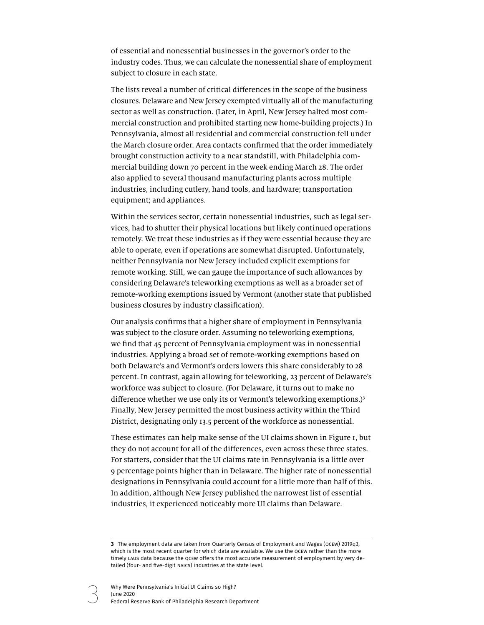of essential and nonessential businesses in the governor's order to the industry codes. Thus, we can calculate the nonessential share of employment subject to closure in each state.

The lists reveal a number of critical differences in the scope of the business closures. Delaware and New Jersey exempted virtually all of the manufacturing sector as well as construction. (Later, in April, New Jersey halted most commercial construction and prohibited starting new home-building projects.) In Pennsylvania, almost all residential and commercial construction fell under the March closure order. Area contacts confirmed that the order immediately brought construction activity to a near standstill, with Philadelphia commercial building down 70 percent in the week ending March 28. The order also applied to several thousand manufacturing plants across multiple industries, including cutlery, hand tools, and hardware; transportation equipment; and appliances.

Within the services sector, certain nonessential industries, such as legal services, had to shutter their physical locations but likely continued operations remotely. We treat these industries as if they were essential because they are able to operate, even if operations are somewhat disrupted. Unfortunately, neither Pennsylvania nor New Jersey included explicit exemptions for remote working. Still, we can gauge the importance of such allowances by considering Delaware's teleworking exemptions as well as a broader set of remote-working exemptions issued by Vermont (another state that published business closures by industry classification).

Our analysis confirms that a higher share of employment in Pennsylvania was subject to the closure order. Assuming no teleworking exemptions, we find that 45 percent of Pennsylvania employment was in nonessential industries. Applying a broad set of remote-working exemptions based on both Delaware's and Vermont's orders lowers this share considerably to 28 percent. In contrast, again allowing for teleworking, 23 percent of Delaware's workforce was subject to closure. (For Delaware, it turns out to make no difference whether we use only its or Vermont's teleworking exemptions.)<sup>3</sup> Finally, New Jersey permitted the most business activity within the Third District, designating only 13.5 percent of the workforce as nonessential.

These estimates can help make sense of the UI claims shown in Figure 1, but they do not account for all of the differences, even across these three states. For starters, consider that the UI claims rate in Pennsylvania is a little over 9 percentage points higher than in Delaware. The higher rate of nonessential designations in Pennsylvania could account for a little more than half of this. In addition, although New Jersey published the narrowest list of essential industries, it experienced noticeably more UI claims than Delaware.

**<sup>3</sup>** The employment data are taken from Quarterly Census of Employment and Wages (QCEW) 2019q3, which is the most recent quarter for which data are available. We use the QCEW rather than the more timely LAUS data because the QCEW offers the most accurate measurement of employment by very detailed (four- and five-digit NAICS) industries at the state level.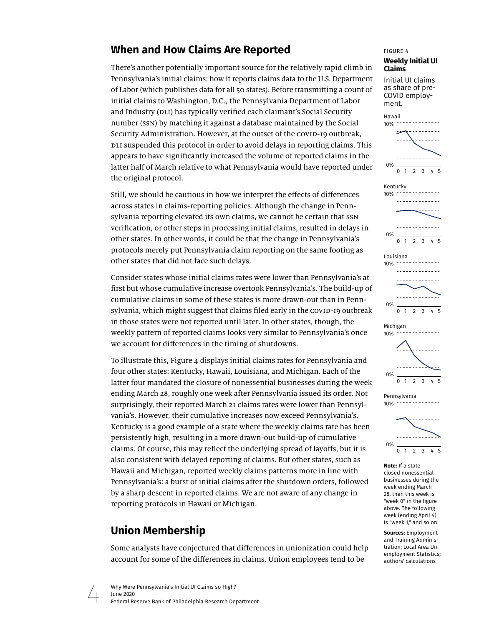# **When and How Claims Are Reported**

There's another potentially important source for the relatively rapid climb in Pennsylvania's initial claims: how it reports claims data to the U.S. Department of Labor (which publishes data for all 50 states). Before transmitting a count of initial claims to Washington, D.C., the Pennsylvania Department of Labor and Industry (DLI) has typically verified each claimant's Social Security number (SSN) by matching it against a database maintained by the Social Security Administration. However, at the outset of the COVID-19 outbreak, DLI suspended this protocol in order to avoid delays in reporting claims. This appears to have significantly increased the volume of reported claims in the latter half of March relative to what Pennsylvania would have reported under the original protocol.

Still, we should be cautious in how we interpret the effects of differences across states in claims-reporting policies. Although the change in Pennsylvania reporting elevated its own claims, we cannot be certain that SSN verification, or other steps in processing initial claims, resulted in delays in other states. In other words, it could be that the change in Pennsylvania's protocols merely put Pennsylvania claim reporting on the same footing as other states that did not face such delays.

Consider states whose initial claims rates were lower than Pennsylvania's at first but whose cumulative increase overtook Pennsylvania's. The build-up of cumulative claims in some of these states is more drawn-out than in Pennsylvania, which might suggest that claims filed early in the COVID-19 outbreak in those states were not reported until later. In other states, though, the weekly pattern of reported claims looks very similar to Pennsylvania's once we account for differences in the timing of shutdowns.

To illustrate this, Figure  $\Delta$  displays initial claims rates for Pennsylvania and four other states: Kentucky, Hawaii, Louisiana, and Michigan. Each of the latter four mandated the closure of nonessential businesses during the week ending March 28, roughly one week after Pennsylvania issued its order. Not surprisingly, their reported March 21 claims rates were lower than Pennsylvania's. However, their cumulative increases now exceed Pennsylvania's. Kentucky is a good example of a state where the weekly claims rate has been persistently high, resulting in a more drawn-out build-up of cumulative claims. Of course, this may reflect the underlying spread of layoffs, but it is also consistent with delayed reporting of claims. But other states, such as Hawaii and Michigan, reported weekly claims patterns more in line with Pennsylvania's: a burst of initial claims after the shutdown orders, followed by a sharp descent in reported claims. We are not aware of any change in reporting protocols in Hawaii or Michigan.

# **Union Membership**

Some analysts have conjectured that differences in unionization could help account for some of the differences in claims. Union employees tend to be

# FIGURE 4

#### **Weekly Initial UI Claims**

Initial UI claims as share of pre-COVID employment.









**Note:** If a state closed nonessential businesses during the week ending March 28, then this week is "week 0" in the figure above. The following week (ending April 4) is "week 1," and so on.

**Sources:** Employment and Training Administration; Local Area Unemployment Statistics; authors' calculations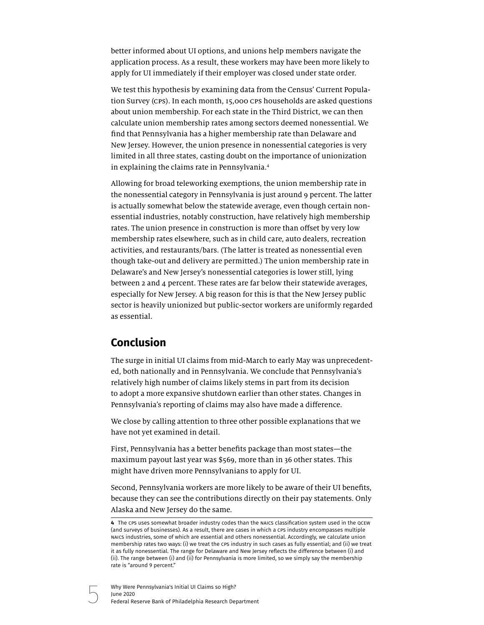better informed about UI options, and unions help members navigate the application process. As a result, these workers may have been more likely to apply for UI immediately if their employer was closed under state order.

We test this hypothesis by examining data from the Census' Current Population Survey (CPS). In each month, 15,000 CPS households are asked questions about union membership. For each state in the Third District, we can then calculate union membership rates among sectors deemed nonessential. We find that Pennsylvania has a higher membership rate than Delaware and New Jersey. However, the union presence in nonessential categories is very limited in all three states, casting doubt on the importance of unionization in explaining the claims rate in Pennsylvania.4

Allowing for broad teleworking exemptions, the union membership rate in the nonessential category in Pennsylvania is just around 9 percent. The latter is actually somewhat below the statewide average, even though certain nonessential industries, notably construction, have relatively high membership rates. The union presence in construction is more than offset by very low membership rates elsewhere, such as in child care, auto dealers, recreation activities, and restaurants/bars. (The latter is treated as nonessential even though take-out and delivery are permitted.) The union membership rate in Delaware's and New Jersey's nonessential categories is lower still, lying between 2 and 4 percent. These rates are far below their statewide averages, especially for New Jersey. A big reason for this is that the New Jersey public sector is heavily unionized but public-sector workers are uniformly regarded as essential.

# **Conclusion**

The surge in initial UI claims from mid-March to early May was unprecedented, both nationally and in Pennsylvania. We conclude that Pennsylvania's relatively high number of claims likely stems in part from its decision to adopt a more expansive shutdown earlier than other states. Changes in Pennsylvania's reporting of claims may also have made a difference.

We close by calling attention to three other possible explanations that we have not yet examined in detail.

First, Pennsylvania has a better benefits package than most states—the maximum payout last year was \$569, more than in 36 other states. This might have driven more Pennsylvanians to apply for UI.

Second, Pennsylvania workers are more likely to be aware of their UI benefits, because they can see the contributions directly on their pay statements. Only Alaska and New Jersey do the same.

**<sup>4</sup>** The CPS uses somewhat broader industry codes than the NAICS classification system used in the QCEW (and surveys of businesses). As a result, there are cases in which a CPS industry encompasses multiple NAICS industries, some of which are essential and others nonessential. Accordingly, we calculate union membership rates two ways: (i) we treat the CPS industry in such cases as fully essential; and (ii) we treat it as fully nonessential. The range for Delaware and New Jersey reflects the difference between (i) and (ii). The range between (i) and (ii) for Pennsylvania is more limited, so we simply say the membership rate is "around 9 percent."